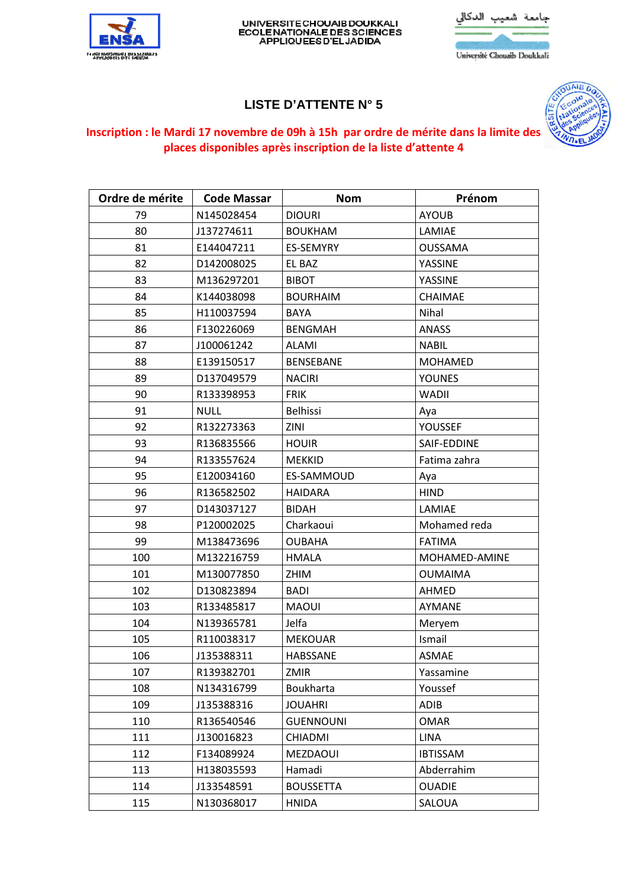

## UNIVERSITE CHOUAIB DOUKKALI<br>ECOLENATIONALE DES SCIENCES<br>APPLIQUEES D'EL JADIDA

| جامعة شعيب الدكالى          |  |
|-----------------------------|--|
|                             |  |
| Université Chouaib Doukkali |  |

## **LISTE D'ATTENTE N° 5**



## **Inscription : le Mardi 17 novembre de 09h à 15h par ordre de mérite dans la limite des places disponibles après inscription de la liste d'attente 4**

| Ordre de mérite | <b>Code Massar</b> | <b>Nom</b>       | Prénom          |
|-----------------|--------------------|------------------|-----------------|
| 79              | N145028454         | <b>DIOURI</b>    | <b>AYOUB</b>    |
| 80              | J137274611         | <b>BOUKHAM</b>   | LAMIAE          |
| 81              | E144047211         | ES-SEMYRY        | OUSSAMA         |
| 82              | D142008025         | EL BAZ           | YASSINE         |
| 83              | M136297201         | <b>BIBOT</b>     | YASSINE         |
| 84              | K144038098         | <b>BOURHAIM</b>  | CHAIMAE         |
| 85              | H110037594         | BAYA             | Nihal           |
| 86              | F130226069         | <b>BENGMAH</b>   | <b>ANASS</b>    |
| 87              | J100061242         | <b>ALAMI</b>     | <b>NABIL</b>    |
| 88              | E139150517         | <b>BENSEBANE</b> | <b>MOHAMED</b>  |
| 89              | D137049579         | <b>NACIRI</b>    | <b>YOUNES</b>   |
| 90              | R133398953         | <b>FRIK</b>      | <b>WADII</b>    |
| 91              | <b>NULL</b>        | <b>Belhissi</b>  | Aya             |
| 92              | R132273363         | ZINI             | YOUSSEF         |
| 93              | R136835566         | <b>HOUIR</b>     | SAIF-EDDINE     |
| 94              | R133557624         | <b>MEKKID</b>    | Fatima zahra    |
| 95              | E120034160         | ES-SAMMOUD       | Aya             |
| 96              | R136582502         | <b>HAIDARA</b>   | <b>HIND</b>     |
| 97              | D143037127         | <b>BIDAH</b>     | LAMIAE          |
| 98              | P120002025         | Charkaoui        | Mohamed reda    |
| 99              | M138473696         | <b>OUBAHA</b>    | <b>FATIMA</b>   |
| 100             | M132216759         | <b>HMALA</b>     | MOHAMED-AMINE   |
| 101             | M130077850         | ZHIM             | <b>OUMAIMA</b>  |
| 102             | D130823894         | <b>BADI</b>      | AHMED           |
| 103             | R133485817         | <b>MAOUI</b>     | <b>AYMANE</b>   |
| 104             | N139365781         | Jelfa            | Meryem          |
| 105             | R110038317         | <b>MEKOUAR</b>   | Ismail          |
| 106             | J135388311         | HABSSANE         | <b>ASMAE</b>    |
| 107             | R139382701         | ZMIR             | Yassamine       |
| 108             | N134316799         | Boukharta        | Youssef         |
| 109             | J135388316         | <b>JOUAHRI</b>   | ADIB            |
| 110             | R136540546         | <b>GUENNOUNI</b> | <b>OMAR</b>     |
| 111             | J130016823         | CHIADMI          | <b>LINA</b>     |
| 112             | F134089924         | MEZDAOUI         | <b>IBTISSAM</b> |
| 113             | H138035593         | Hamadi           | Abderrahim      |
| 114             | J133548591         | <b>BOUSSETTA</b> | <b>OUADIE</b>   |
| 115             | N130368017         | <b>HNIDA</b>     | SALOUA          |